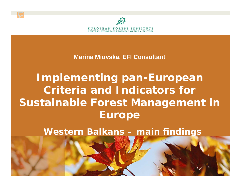

**Marina Miovska, EFI Consultant** 

**Implementing pan-European Criteria and Indicators for Sustainable Forest Management in Europe**

**Western Balkans – main findings**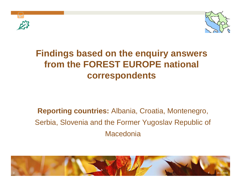



### **Findings based on the enquiry answers from the FOREST EUROPE national correspondents**

### **Reporting countries:** Albania, Croatia, Montenegro, Serbia, Slovenia and the Former Yugoslav Republic of **Macedonia**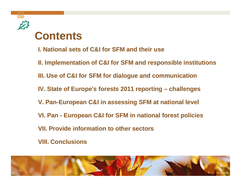

**I. National sets of C&I for SFM and their use**

**II. Implementation of C&I for SFM and responsible institutions** 

**III. Use of C&I for SFM for dialogue and communication**

**IV. State of Europe**'**<sup>s</sup> forests 2011 reporting – challenges**

**V. Pan-European C&I in assessing SFM at national level**

**VI. Pan - European C&I for SFM in national forest policies**

**VII. Provide information to other sectors**

**VIII. Conclusions**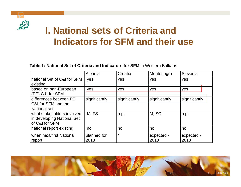

4

# **I. National sets of Criteria and Indicators for SFM and their use**

**Table 1: National Set of Criteria and Indicators for SFM** in Western Balkans

|                                                                                                    | Albania                | Croatia               | Montenegro             | Slovenia              |
|----------------------------------------------------------------------------------------------------|------------------------|-----------------------|------------------------|-----------------------|
| national Set of C&I for SFM<br>existing                                                            | yes                    | yes                   | yes                    | yes                   |
| based on pan-European<br>(PE) C&I for SFM                                                          | yes                    | yes                   | yes                    | yes                   |
| differences between PE<br>C&I for SFM and the<br><b>National set</b><br>what stakeholders involved | significantly<br>M, FS | significantly<br>n.p. | significantly<br>M, SC | significantly<br>n.p. |
| in developing National Set<br>of C&I for SFM                                                       |                        |                       |                        |                       |
| national report existing                                                                           | no                     | no                    | no                     | no                    |
| when next/first National<br>report                                                                 | planned for<br>2013    |                       | expected -<br>2013     | expected -<br>2013    |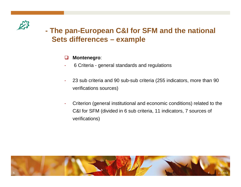

### **The pan-European C&I for SFM and the national Sets differences – example**

#### $\Box$ **Montenegro**:

- 6 Criteria general standards and regulations
- 23 sub criteria and 90 sub-sub criteria (255 indicators, more than 90 verifications sources)
- Criterion (general institutional and economic conditions) related to the C&I for SFM (divided in 6 sub criteria, 11 indicators, 7 sources of verifications)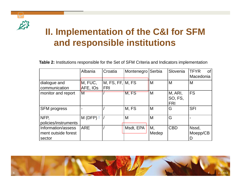<span id="page-5-0"></span>

## **II. Implementation of the C&I for SFM and responsible institutions**

**Table 2:** Institutions responsible for the Set of SFM Criteria and Indicators implementation

|                                                     | Albania             | Croatia                        | Montenegro | Serbia      | Slovenia                         | <b>TFYR</b><br>of<br>Macedonia |
|-----------------------------------------------------|---------------------|--------------------------------|------------|-------------|----------------------------------|--------------------------------|
| dialogue and<br>communication                       | M, FUC,<br>AFE, IOs | M, FS, FF, M, FS<br><b>FRI</b> |            | IM.         | M                                | M                              |
| monitor and report                                  | M                   |                                | M, FS      | M           | M, ARI,<br>SO, FS,<br><b>FRI</b> | <b>FS</b>                      |
| <b>SFM</b> progress                                 |                     |                                | M, FS      | M           | G                                | <b>SFI</b>                     |
| NFP,<br>policies/instruments                        | $M(DFP)$ *          |                                | M          | M           | G                                |                                |
| Information/assess<br>ment outside forest<br>sector | <b>ARE</b>          |                                | Msdt, EPA  | M,<br>Medep | <b>CBD</b>                       | Nssd,<br>Moepp/CB              |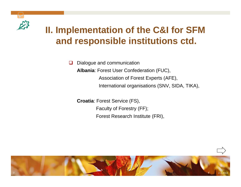

# **II. Implementation of the C&I for SFM and responsible institutions ctd.**

 $\Box$  Dialogue and communication **Albania**: Forest User Confederation (FUC), Association of Forest Experts (AFE), International organisations (SNV, SIDA, TIKA),

**Croatia**: Forest Service (FS), Faculty of Forestry (FF); Forest Research Institute (FRI),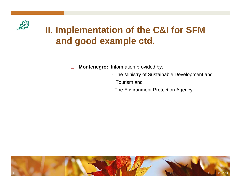

# **II. Implementation of the C&I for SFM and good example ctd.**

 $\Box$ **Montenegro:** Information provided by:

- The Ministry of Sustainable Development and Tourism and
- The Environment Protection Agency.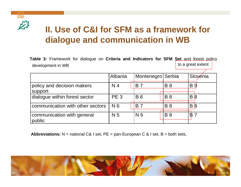

### **II. Use of C&I for SFM as a framework for dialogue and communication in WB**

**Table 3:** Framework for dialogue on **Criteria and Indicators for SFM Set** and forest policy development in WB to a great extent

|                                       | Albania         | Montenegro Serbia |            | Slovenia        |
|---------------------------------------|-----------------|-------------------|------------|-----------------|
| policy and decision makers<br>support | N <sub>4</sub>  | <b>B</b> 7        | <b>B</b> 8 | <b>B</b> 9      |
| dialogue within forest sector         | PE <sub>3</sub> | <b>B6</b>         | <b>B</b> 8 | $B\overline{B}$ |
| communication with other sectors      | N 6             | <b>B7</b>         | <b>B</b> 8 | $B\overline{8}$ |
| communication with general<br>public  | N <sub>5</sub>  | N <sub>6</sub>    | <b>B</b> 8 | B               |

**Abbreviations:** N = national C& I set, PE = pan-European C & I set, B = both sets,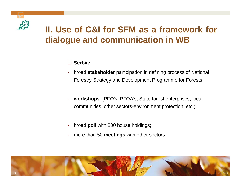

### **II. Use of C&I for SFM as a framework for dialogue and communication in WB**

### **Serbia:**

- broad **stakeholder** participation in defining process of National Forestry Strategy and Development Programme for Forests;
- **workshops**: (PFO's, PFOA's, State forest enterprises, local communities, other sectors-environment protection, etc.);
- broad **poll** with 800 house holdings;
- more than 50 **meetings** with other sectors.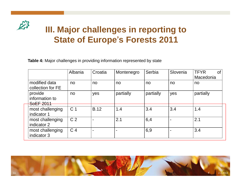

### **III. Major challenges in reporting to State of Europe**'**s Forests 2011**

**Table 4:** Major challenges in providing information represented by state

|                                        | Albania        | Croatia     | Montenegro | Serbia    | Slovenia | <b>TFYR</b><br><b>of</b><br>Macedonia |
|----------------------------------------|----------------|-------------|------------|-----------|----------|---------------------------------------|
| modified data<br>collection for FE     | no             | no          | no         | no        | no       | no                                    |
| provide<br>information to<br>SoEF 2011 | no             | yes         | partially  | partially | yes      | partially                             |
| most challenging<br>indicator 1        | C <sub>1</sub> | <b>B.12</b> | 1.4        | 3.4       | 3.4      | 1.4                                   |
| most challenging<br>indicator 2        | C <sub>2</sub> |             | 2.1        | 6,4       |          | 2.1                                   |
| most challenging<br>indicator 3        | C <sub>4</sub> |             |            | 6,9       | ۰        | 3.4                                   |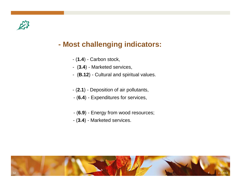

#### **- Most challenging indicators:**

- (**1.4**) Carbon stock,
- (**3.4**) Marketed services,
- (**B.12**) Cultural and spiritual values.
- (**2.1**) Deposition of air pollutants,
- (**6.4**) Expenditures for services,
- (**6.9**) Energy from wood resources;
- (**3.4**) Marketed services.

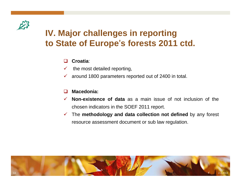

### **IV. Major challenges in reporting to State of Europe**'**s forests 2011 ctd.**

#### П **Croatia**:

- $\checkmark$ the most detailed reporting,
- $\checkmark$ around 1800 parameters reported out of 2400 in total.

#### $\Box$ **Macedonia:**

- $\checkmark$  **Non-existence of data** as a main issue of not inclusion of the chosen indicators in the SOEF 2011 report.
- 9 The **methodology and data collection not defined** by any forest resource assessment document or sub law regulation.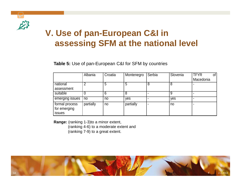

### **V. Use of pan-European C&I in assessing SFM at the national level**

**Table 5:** Use of pan-European C&I for SFM by countries

|                                          | Albania   | Croatia | Montenegro | Serbia | Slovenia | <b>TFYR</b><br>of |
|------------------------------------------|-----------|---------|------------|--------|----------|-------------------|
|                                          |           |         |            |        |          | Macedonia         |
| national                                 | 2         | 5       | 5          | 8      | 8        |                   |
| assessment                               |           |         |            |        |          |                   |
| suitable                                 |           | 6       |            |        | 9        |                   |
| emerging issues                          | no        | no      | yes        |        | yes      |                   |
| formal process<br>for emerging<br>issues | partially | no      | partially  |        | no       |                   |

**Range:** (ranking 1-3)to <sup>a</sup> minor extent,

(ranking 4-6) to <sup>a</sup> moderate extent and (ranking 7-9) to <sup>a</sup> great extent.

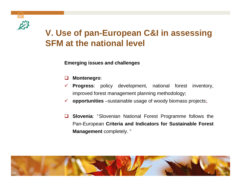

### **V. Use of pan-European C&I in assessing SFM at the national level**

**Emerging issues and challenges**

- $\Box$ **Montenegro**:
- $\checkmark$  **Progress**: policy development, national forest inventory, improved forest management planning methodology;
- $\checkmark$ **opportunities** –sustainable usage of woody biomass projects;
- **Slovenia**: "Slovenian National Forest Programme follows the Pan-European **Criteria and Indicators for Sustainable Forest Management** completely. "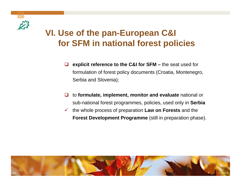

### **VI. Use of the pan-European C&I for SFM in national forest policies**

- $\Box$  **explicit reference to the C&I for SFM –** the seat used for formulation of forest policy documents (Croatia, Montenegro, Serbia and Slovenia);
- $\Box$  to **formulate, implement, monitor and evaluate** national or sub-national forest programmes, policies, used only in **Serbia**
- $\checkmark$  the whole process of preparation **Law on Forests** and the **Forest Development Programme** (still in preparation phase).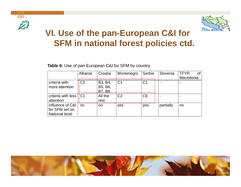



### **VI. Use of the pan-European C&I for SFM in national forest policies ctd.**

**Table 6:** Use of pan-European C&I for SFM by country

|                                                             | Albania        | Croatia                             | Montenegro     | Serbia         | Slovenia  | <b>TFYR</b><br>Ωt |
|-------------------------------------------------------------|----------------|-------------------------------------|----------------|----------------|-----------|-------------------|
|                                                             |                |                                     |                |                |           | Macedonia         |
| criteria with<br>more attention                             | C <sub>2</sub> | B3, B4,<br>B5, B6,<br><b>B7, B8</b> | C <sub>1</sub> | C <sub>1</sub> |           |                   |
| criteria with less $  C1$<br>attention                      |                | All the<br>rest                     | C <sub>2</sub> | C <sub>6</sub> |           |                   |
| influence of C&I<br>for SFM set on<br><b>National level</b> | no             | no                                  | yes            | yes            | partially | no                |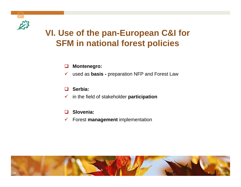

### **VI. Use of the pan-European C&I for SFM in national forest policies**

#### $\Box$ **Montenegro:**

 $\checkmark$ used as **basis -** preparation NFP and Forest Law

#### $\Box$ **Serbia:**

 $\checkmark$ in the field of stakeholder **participation**

- $\Box$ **Slovenia:**
- 9 Forest **management** implementation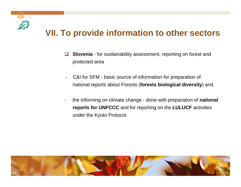

### **VII. To provide information to other sectors**

- $\Box$  **Slovenia** - for sustainability assessment, reporting on forest and protected area
- C&I for SFM basic source of information for preparation of national reports about Forests (**forests biological diversity**) and
- the informing on climate change - done with preparation of **national reports for UNFCCC** and for reporting on the **LULUCF** activities under the Kyoto Protocol.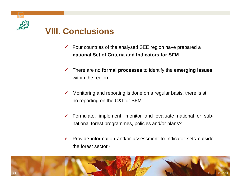

### **VIII. Conclusions**

- $\checkmark$  Four countries of the analysed SEE region have prepared a **national Set of Criteria and Indicators for SFM**
- $\checkmark$  There are no **formal processes** to identify the **emerging issues** within the region
- $\checkmark$  Monitoring and reporting is done on a regular basis, there is still no reporting on the C&I for SFM
- $\checkmark$  Formulate, implement, monitor and evaluate national or subnational forest programmes, policies and/or plans?
- $\checkmark$  Provide information and/or assessment to indicator sets outside the forest sector?